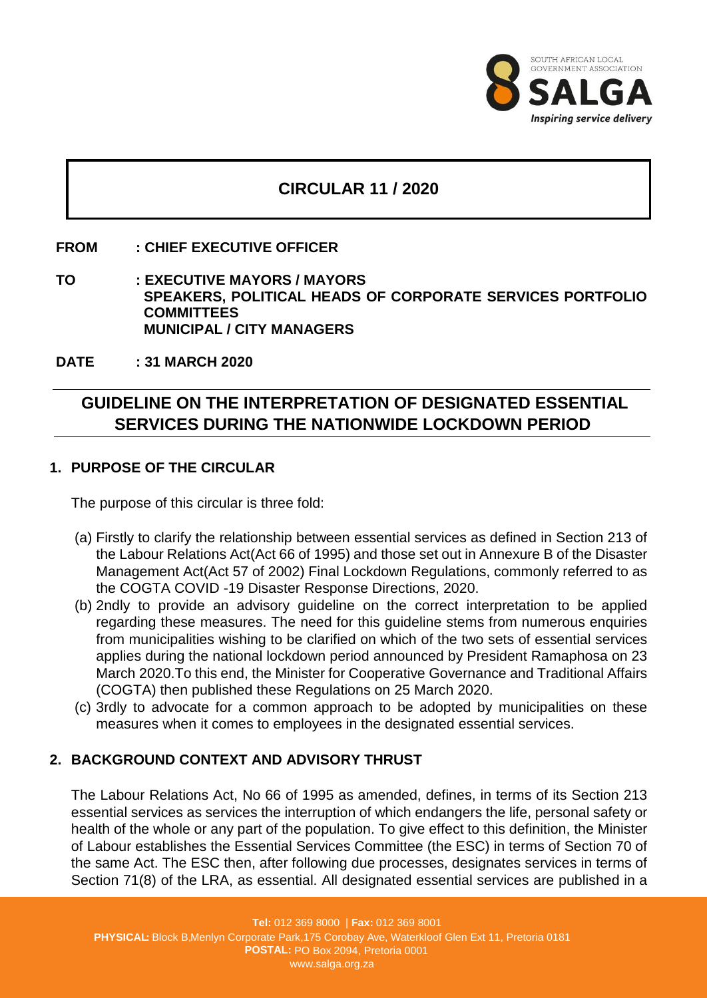

## **CIRCULAR 11 / 2020**

#### **FROM : CHIEF EXECUTIVE OFFICER**

**TO : EXECUTIVE MAYORS / MAYORS SPEAKERS, POLITICAL HEADS OF CORPORATE SERVICES PORTFOLIO COMMITTEES MUNICIPAL / CITY MANAGERS**

**DATE : 31 MARCH 2020**

# **GUIDELINE ON THE INTERPRETATION OF DESIGNATED ESSENTIAL SERVICES DURING THE NATIONWIDE LOCKDOWN PERIOD**

#### **1. PURPOSE OF THE CIRCULAR**

The purpose of this circular is three fold:

- (a) Firstly to clarify the relationship between essential services as defined in Section 213 of the Labour Relations Act(Act 66 of 1995) and those set out in Annexure B of the Disaster Management Act(Act 57 of 2002) Final Lockdown Regulations, commonly referred to as the COGTA COVID -19 Disaster Response Directions, 2020.
- (b) 2ndly to provide an advisory guideline on the correct interpretation to be applied regarding these measures. The need for this guideline stems from numerous enquiries from municipalities wishing to be clarified on which of the two sets of essential services applies during the national lockdown period announced by President Ramaphosa on 23 March 2020.To this end, the Minister for Cooperative Governance and Traditional Affairs (COGTA) then published these Regulations on 25 March 2020.
- (c) 3rdly to advocate for a common approach to be adopted by municipalities on these measures when it comes to employees in the designated essential services.

### **2. BACKGROUND CONTEXT AND ADVISORY THRUST**

The Labour Relations Act, No 66 of 1995 as amended, defines, in terms of its Section 213 essential services as services the interruption of which endangers the life, personal safety or health of the whole or any part of the population. To give effect to this definition, the Minister of Labour establishes the Essential Services Committee (the ESC) in terms of Section 70 of the same Act. The ESC then, after following due processes, designates services in terms of Section 71(8) of the LRA, as essential. All designated essential services are published in a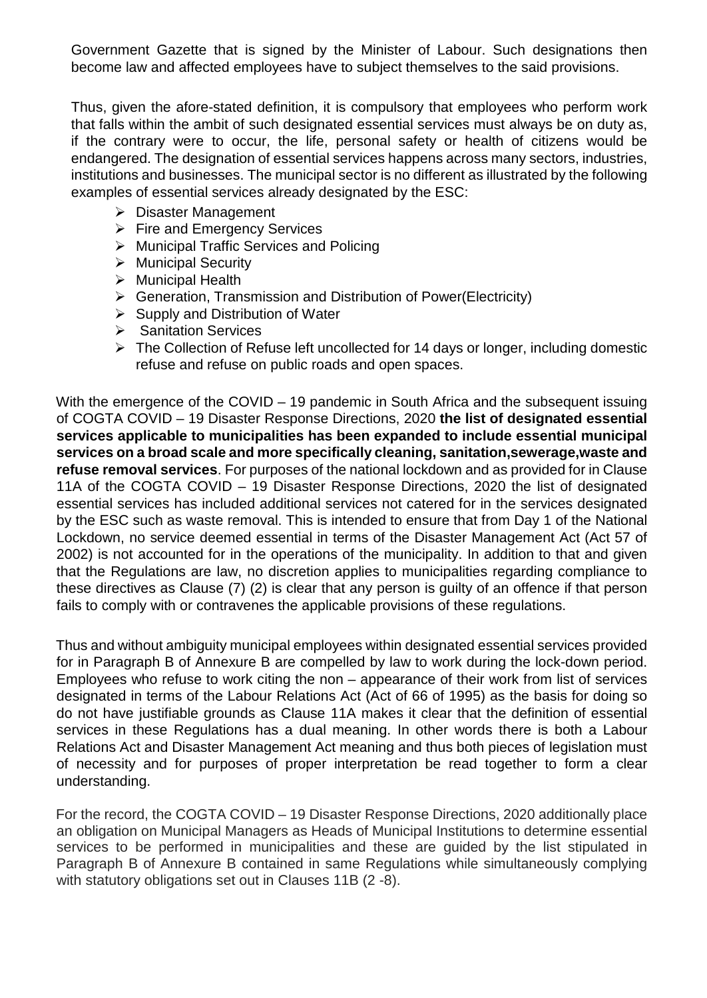Government Gazette that is signed by the Minister of Labour. Such designations then become law and affected employees have to subject themselves to the said provisions.

Thus, given the afore-stated definition, it is compulsory that employees who perform work that falls within the ambit of such designated essential services must always be on duty as, if the contrary were to occur, the life, personal safety or health of citizens would be endangered. The designation of essential services happens across many sectors, industries, institutions and businesses. The municipal sector is no different as illustrated by the following examples of essential services already designated by the ESC:

- **▶ Disaster Management**
- $\triangleright$  Fire and Emergency Services
- Municipal Traffic Services and Policing
- $\triangleright$  Municipal Security
- $\triangleright$  Municipal Health
- $\triangleright$  Generation, Transmission and Distribution of Power(Electricity)
- $\triangleright$  Supply and Distribution of Water
- **▶ Sanitation Services**
- $\triangleright$  The Collection of Refuse left uncollected for 14 days or longer, including domestic refuse and refuse on public roads and open spaces.

With the emergence of the COVID – 19 pandemic in South Africa and the subsequent issuing of COGTA COVID – 19 Disaster Response Directions, 2020 **the list of designated essential services applicable to municipalities has been expanded to include essential municipal services on a broad scale and more specifically cleaning, sanitation,sewerage,waste and refuse removal services**. For purposes of the national lockdown and as provided for in Clause 11A of the COGTA COVID – 19 Disaster Response Directions, 2020 the list of designated essential services has included additional services not catered for in the services designated by the ESC such as waste removal. This is intended to ensure that from Day 1 of the National Lockdown, no service deemed essential in terms of the Disaster Management Act (Act 57 of 2002) is not accounted for in the operations of the municipality. In addition to that and given that the Regulations are law, no discretion applies to municipalities regarding compliance to these directives as Clause (7) (2) is clear that any person is guilty of an offence if that person fails to comply with or contravenes the applicable provisions of these regulations.

Thus and without ambiguity municipal employees within designated essential services provided for in Paragraph B of Annexure B are compelled by law to work during the lock-down period. Employees who refuse to work citing the non – appearance of their work from list of services designated in terms of the Labour Relations Act (Act of 66 of 1995) as the basis for doing so do not have justifiable grounds as Clause 11A makes it clear that the definition of essential services in these Regulations has a dual meaning. In other words there is both a Labour Relations Act and Disaster Management Act meaning and thus both pieces of legislation must of necessity and for purposes of proper interpretation be read together to form a clear understanding.

For the record, the COGTA COVID – 19 Disaster Response Directions, 2020 additionally place an obligation on Municipal Managers as Heads of Municipal Institutions to determine essential services to be performed in municipalities and these are guided by the list stipulated in Paragraph B of Annexure B contained in same Regulations while simultaneously complying with statutory obligations set out in Clauses 11B (2 -8).